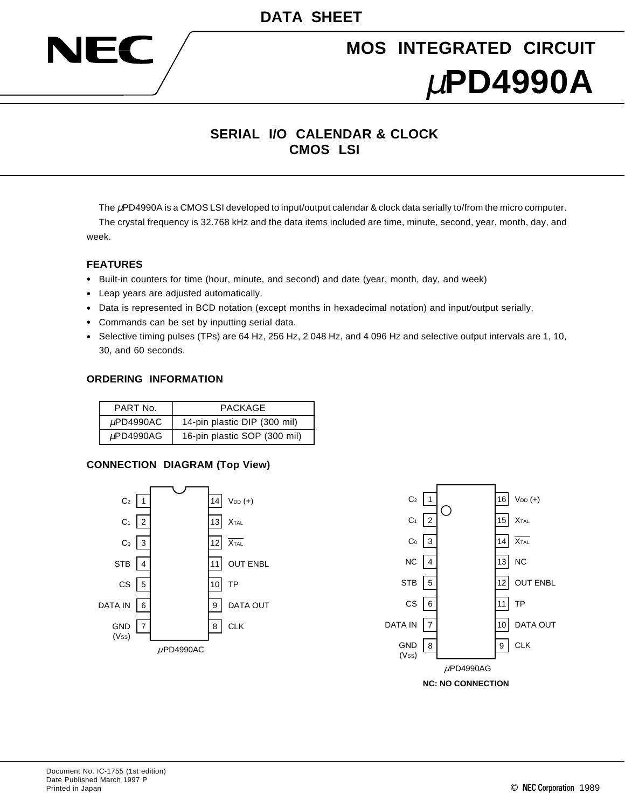

# **MOS INTEGRATED CIRCUIT** µ**PD4990A**

## **SERIAL I/O CALENDAR & CLOCK CMOS LSI**

The µPD4990A is a CMOS LSI developed to input/output calendar & clock data serially to/from the micro computer. The crystal frequency is 32.768 kHz and the data items included are time, minute, second, year, month, day, and week.

#### **FEATURES**

- Built-in counters for time (hour, minute, and second) and date (year, month, day, and week)
- Leap years are adjusted automatically.
- Data is represented in BCD notation (except months in hexadecimal notation) and input/output serially.
- Commands can be set by inputting serial data.
- Selective timing pulses (TPs) are 64 Hz, 256 Hz, 2 048 Hz, and 4 096 Hz and selective output intervals are 1, 10, 30, and 60 seconds.

#### **ORDERING INFORMATION**

| PART No.  | <b>PACKAGE</b>               |
|-----------|------------------------------|
| uPD4990AC | 14-pin plastic DIP (300 mil) |
| uPD4990AG | 16-pin plastic SOP (300 mil) |

#### **CONNECTION DIAGRAM (Top View)**



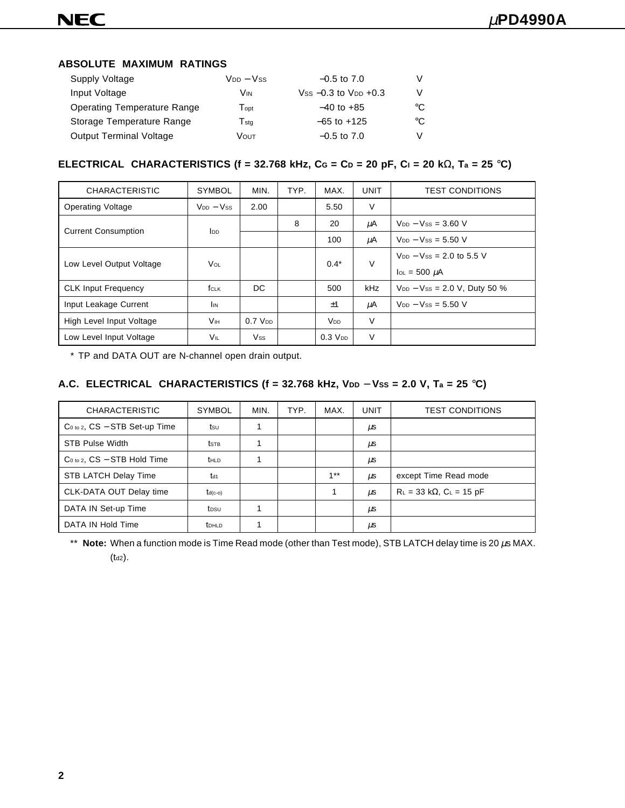#### **ABSOLUTE MAXIMUM RATINGS**

| Supply Voltage                     | V <sub>DD</sub> – Vss       | $-0.5$ to 7.0                  | V  |
|------------------------------------|-----------------------------|--------------------------------|----|
| Input Voltage                      | Vin                         | $V$ ss $-0.3$ to $V_{DD}$ +0.3 | V  |
| <b>Operating Temperature Range</b> | $\mathsf{T}$ opt            | $-40$ to $+85$                 | °C |
| Storage Temperature Range          | $\mathsf{T}_{\mathsf{stq}}$ | $-65$ to $+125$                | °C |
| <b>Output Terminal Voltage</b>     | Vουτ                        | $-0.5$ to 7.0                  | V  |

#### **ELECTRICAL CHARACTERISTICS (f = 32.768 kHz, CG = CD = 20 pF, CI = 20 k**Ω**, Ta = 25** °**C)**

| <b>CHARACTERISTIC</b>      | <b>SYMBOL</b>          | MIN.           | TYP.   | MAX.                  | <b>UNIT</b>                      | <b>TEST CONDITIONS</b>                |
|----------------------------|------------------------|----------------|--------|-----------------------|----------------------------------|---------------------------------------|
| <b>Operating Voltage</b>   | $V_{DD} - V_{SS}$      | 2.00           |        | 5.50                  | V                                |                                       |
| <b>Current Consumption</b> |                        |                | 8      | 20                    | μA                               | $V_{DD} - V_{SS} = 3.60$ V            |
|                            | <b>l</b> <sub>DD</sub> |                |        | 100                   | μA                               | $V_{DD} - V_{SS} = 5.50$ V            |
| Low Level Output Voltage   | <b>V</b> ol            |                | $0.4*$ | $\vee$                | $V_{DD} - V_{SS} = 2.0$ to 5.5 V |                                       |
|                            |                        |                |        |                       |                                  | $I_{OL}$ = 500 $\mu$ A                |
| <b>CLK Input Frequency</b> | fclk                   | DC.            |        | 500                   | kHz                              | $V_{DD} - V_{SS} = 2.0 V$ , Duty 50 % |
| Input Leakage Current      | <b>I</b> IN            |                |        | ±1                    | μA                               | $V_{DD} - V_{SS} = 5.50$ V            |
| High Level Input Voltage   | <b>V</b> <sub>IH</sub> | $0.7$ $V_{DD}$ |        | <b>V<sub>DD</sub></b> | V                                |                                       |
| Low Level Input Voltage    | VIL                    | <b>Vss</b>     |        | $0.3$ $V_{DD}$        | V                                |                                       |

\* TP and DATA OUT are N-channel open drain output.

### A.C. ELECTRICAL CHARACTERISTICS (f = 32.768 kHz, VDD – Vss = 2.0 V, Ta = 25 °C)

| <b>CHARACTERISTIC</b>               | <b>SYMBOL</b>     | MIN. | TYP. | MAX.   | <b>UNIT</b> | <b>TEST CONDITIONS</b>             |
|-------------------------------------|-------------------|------|------|--------|-------------|------------------------------------|
| $Co_{10}$ 2, $CS - STB$ Set-up Time | tsu               |      |      |        | <b>LLS</b>  |                                    |
| <b>STB Pulse Width</b>              | tstb              |      |      |        | μs          |                                    |
| $Co$ to 2, $CS - STB$ Hold Time     | <b>t</b> HLD      |      |      |        | μs          |                                    |
| STB LATCH Delay Time                | td1               |      |      | $1***$ | $\mu$ s     | except Time Read mode              |
| CLK-DATA OUT Delay time             | $t_{d(c-o)}$      |      |      |        | $\mu$ s     | $R_L = 33 k\Omega$ , $C_L = 15 pF$ |
| DATA IN Set-up Time                 | tosu              |      |      |        | μs          |                                    |
| DATA IN Hold Time                   | t <sub>DHLD</sub> |      |      |        | μs          |                                    |

\*\* **Note:** When a function mode is Time Read mode (other than Test mode), STB LATCH delay time is 20 µs MAX.  $(t_{d2})$ .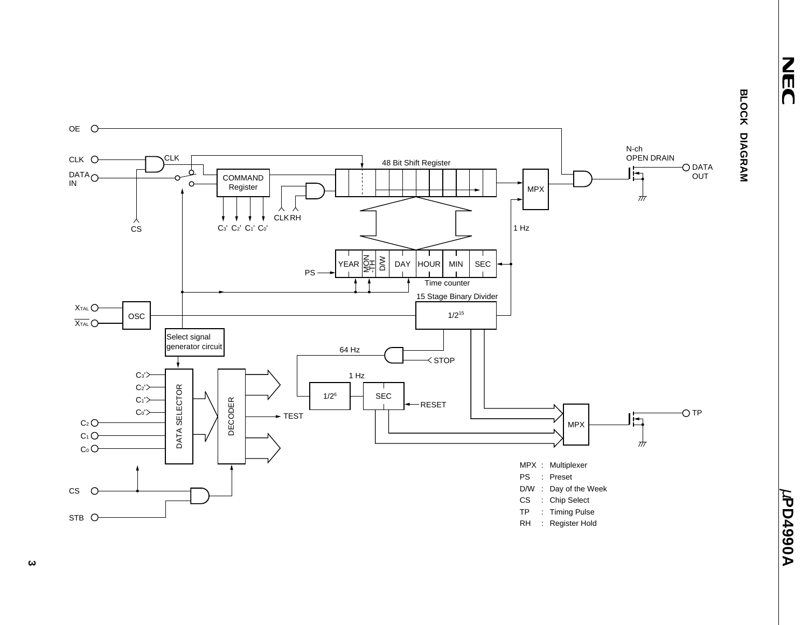NEC

µ**PD4990A**

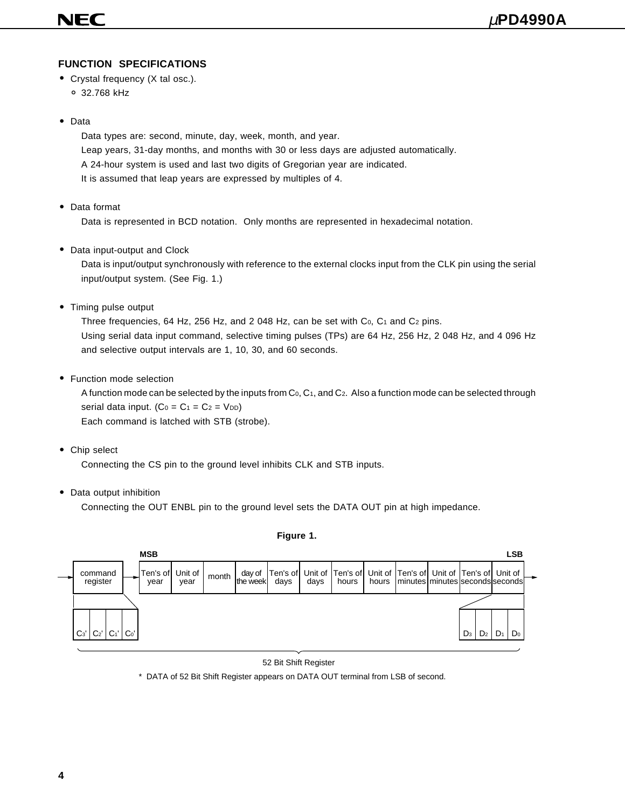### **FUNCTION SPECIFICATIONS**

- Crystal frequency (X tal osc.). ° 32.768 kHz
- Data

Data types are: second, minute, day, week, month, and year. Leap years, 31-day months, and months with 30 or less days are adjusted automatically. A 24-hour system is used and last two digits of Gregorian year are indicated. It is assumed that leap years are expressed by multiples of 4.

• Data format

Data is represented in BCD notation. Only months are represented in hexadecimal notation.

• Data input-output and Clock

Data is input/output synchronously with reference to the external clocks input from the CLK pin using the serial input/output system. (See Fig. 1.)

• Timing pulse output

Three frequencies, 64 Hz, 256 Hz, and 2 048 Hz, can be set with  $Co$ ,  $Co$  and  $Co$  pins. Using serial data input command, selective timing pulses (TPs) are 64 Hz, 256 Hz, 2 048 Hz, and 4 096 Hz and selective output intervals are 1, 10, 30, and 60 seconds.

• Function mode selection

A function mode can be selected by the inputs from  $C_0$ ,  $C_1$ , and  $C_2$ . Also a function mode can be selected through serial data input.  $(C_0 = C_1 = C_2 = V_{DD})$ Each command is latched with STB (strobe).

• Chip select

Connecting the CS pin to the ground level inhibits CLK and STB inputs.

• Data output inhibition

Connecting the OUT ENBL pin to the ground level sets the DATA OUT pin at high impedance.



#### **Figure 1.**

#### 52 Bit Shift Register

\* DATA of 52 Bit Shift Register appears on DATA OUT terminal from LSB of second.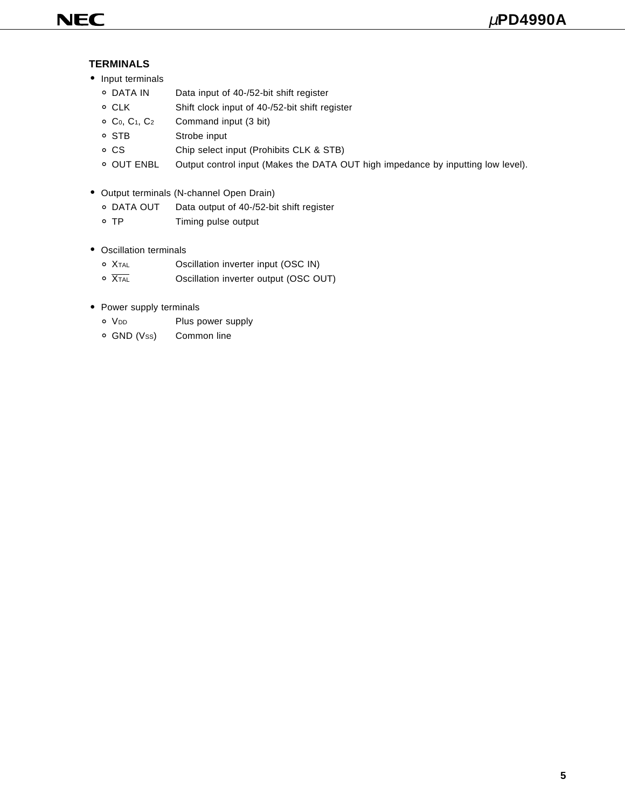#### **TERMINALS**

- Input terminals
	- DATA IN Data input of 40-/52-bit shift register<br>○ CLK Shift clock input of 40-/52-bit shift register
	- CLK Shift clock input of 40-/52-bit shift register<br>○ C<sub>0</sub>, C<sub>1</sub>, C<sub>2</sub> Command input (3 bit)
	- ° C0, C1, C2 Command input (3 bit)
	- STB Strobe input<br>○ CS Chip select in
	- CS Chip select input (Prohibits CLK & STB)<br>○ OUT ENBL Output control input (Makes the DATA C
	- Output control input (Makes the DATA OUT high impedance by inputting low level).
- Output terminals (N-channel Open Drain)
	- DATA OUT Data output of 40-/52-bit shift register<br>○ TP Timing pulse output
	- Timing pulse output
- Oscillation terminals
	- <sup>o</sup> X<sub>TAL</sub> **Oscillation inverter input (OSC IN)**<br>  $\overline{X_{TAL}}$  **Oscillation inverter output (OSC O**
	- Oscillation inverter output (OSC OUT)
- Power supply terminals
	- V<sub>DD</sub> Plus power supply<br>○ GND (Vss) Common line
	- Common line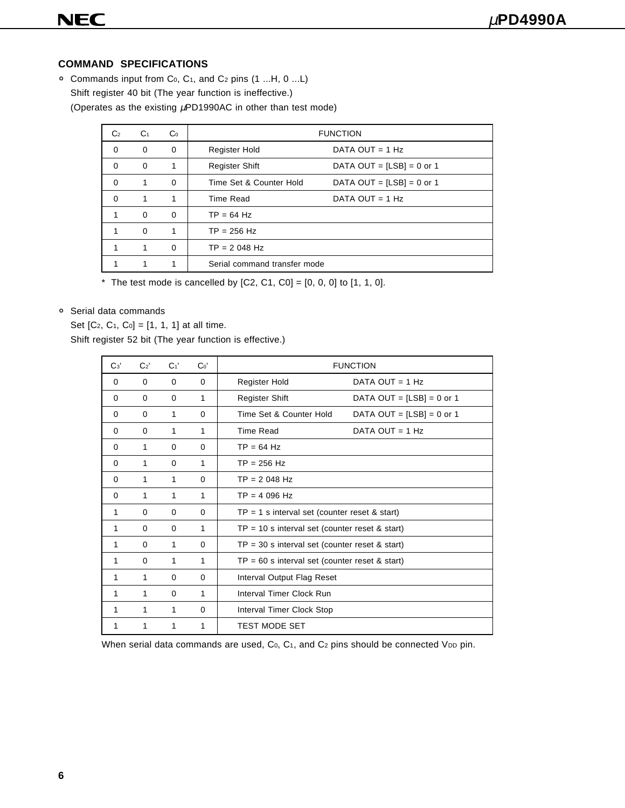#### **COMMAND SPECIFICATIONS**

° Commands input from C0, C1, and C2 pins (1 ...H, 0 ...L) Shift register 40 bit (The year function is ineffective.) (Operates as the existing  $\mu$ PD1990AC in other than test mode)

| C <sub>2</sub> | C <sub>1</sub> | Co       |                              | <b>FUNCTION</b>             |
|----------------|----------------|----------|------------------------------|-----------------------------|
| $\Omega$       | 0              | $\Omega$ | Register Hold                | DATA OUT = $1$ Hz           |
| $\Omega$       | $\Omega$       |          | <b>Register Shift</b>        | DATA OUT = $[LSB] = 0$ or 1 |
| $\Omega$       | 1              | $\Omega$ | Time Set & Counter Hold      | DATA OUT = $[LSB] = 0$ or 1 |
| $\Omega$       | 1              | 1        | Time Read                    | DATA OUT = $1$ Hz           |
| 1              | $\Omega$       | $\Omega$ | $TP = 64 Hz$                 |                             |
| 1              | $\Omega$       |          | $TP = 256 Hz$                |                             |
| 1              | 1              | $\Omega$ | $TP = 2048 Hz$               |                             |
|                |                |          | Serial command transfer mode |                             |

\* The test mode is cancelled by  $[C2, C1, C0] = [0, 0, 0]$  to  $[1, 1, 0]$ .

#### ° Serial data commands

Set [C<sub>2</sub>, C<sub>1</sub>, C<sub>0</sub>] = [1, 1, 1] at all time.

Shift register 52 bit (The year function is effective.)

| C <sub>3</sub> | C <sub>2</sub> | C <sub>1</sub> | Co <sup>'</sup> | <b>FUNCTION</b>                                  |                             |  |  |  |
|----------------|----------------|----------------|-----------------|--------------------------------------------------|-----------------------------|--|--|--|
| $\Omega$       | 0              | 0              | $\Omega$        | Register Hold                                    | DATA OUT = $1$ Hz           |  |  |  |
| 0              | 0              | 0              | 1               | <b>Register Shift</b>                            | DATA OUT = $[LSB] = 0$ or 1 |  |  |  |
| 0              | $\Omega$       | 1              | $\Omega$        | Time Set & Counter Hold                          | DATA OUT = $[LSB] = 0$ or 1 |  |  |  |
| $\Omega$       | $\Omega$       | 1              | 1               | <b>Time Read</b>                                 | DATA OUT = $1$ Hz           |  |  |  |
| 0              | 1              | $\Omega$       | $\Omega$        | $TP = 64 Hz$                                     |                             |  |  |  |
| $\Omega$       | 1              | 0              | 1               | $TP = 256 Hz$                                    |                             |  |  |  |
| 0              | 1              | 1              | $\Omega$        | $TP = 2048 Hz$                                   |                             |  |  |  |
| $\Omega$       | 1              | 1              | 1               | $TP = 4096 Hz$                                   |                             |  |  |  |
| 1              | 0              | 0              | $\Omega$        | $TP = 1$ s interval set (counter reset & start)  |                             |  |  |  |
| 1              | $\Omega$       | 0              | 1               | $TP = 10$ s interval set (counter reset & start) |                             |  |  |  |
| 1              | $\Omega$       | 1              | $\Omega$        | $TP = 30$ s interval set (counter reset & start) |                             |  |  |  |
| 1              | 0              | 1              | 1               | $TP = 60$ s interval set (counter reset & start) |                             |  |  |  |
| 1              | 1              | $\Omega$       | $\Omega$        | Interval Output Flag Reset                       |                             |  |  |  |
| 1              | 1              | $\Omega$       | 1               | Interval Timer Clock Run                         |                             |  |  |  |
| 1              | 1              | 1              | $\Omega$        | Interval Timer Clock Stop                        |                             |  |  |  |
| 1              | 1              | 1              | 1               | <b>TEST MODE SET</b>                             |                             |  |  |  |

When serial data commands are used,  $Co$ ,  $Co$ , and  $Co$  pins should be connected VDD pin.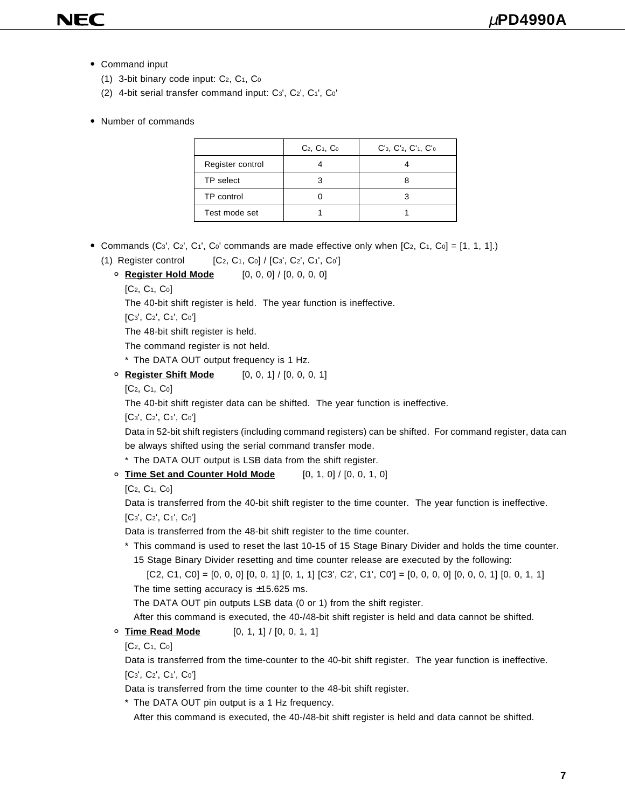- Command input
	- (1) 3-bit binary code input:  $C_2$ ,  $C_1$ ,  $C_0$
	- (2) 4-bit serial transfer command input: C3', C2', C1', C0'

#### • Number of commands

|                  | $C_2, C_1, C_0$ | $C'$ <sub>3</sub> , $C'$ <sub>2</sub> , $C'$ <sub>1</sub> , $C'$ <sub>0</sub> |
|------------------|-----------------|-------------------------------------------------------------------------------|
| Register control |                 |                                                                               |
| TP select        |                 |                                                                               |
| TP control       |                 |                                                                               |
| Test mode set    |                 |                                                                               |

- Commands (C<sub>3</sub>', C<sub>2</sub>', C<sub>1</sub>', C<sub>0</sub>' commands are made effective only when  $[C_2, C_1, C_0] = [1, 1, 1].$ 
	- (1) Register control  $[C_2, C_1, C_0] / [C_3, C_2, C_1, C_0']$ 
		- ° **Register Hold Mode** [0, 0, 0] / [0, 0, 0, 0]
			- $[C_2, C_1, C_0]$

The 40-bit shift register is held. The year function is ineffective.

[C3', C2', C1', C0']

The 48-bit shift register is held.

The command register is not held.

\* The DATA OUT output frequency is 1 Hz.

° **Register Shift Mode** [0, 0, 1] / [0, 0, 0, 1]

 $[C_2, C_1, C_0]$ 

The 40-bit shift register data can be shifted. The year function is ineffective.

[C3', C2', C1', C0']

Data in 52-bit shift registers (including command registers) can be shifted. For command register, data can be always shifted using the serial command transfer mode.

\* The DATA OUT output is LSB data from the shift register.

- ° **Time Set and Counter Hold Mode** [0, 1, 0] / [0, 0, 1, 0]
	- [C2, C1, C0]

Data is transferred from the 40-bit shift register to the time counter. The year function is ineffective. [C3', C2', C1', C0']

Data is transferred from the 48-bit shift register to the time counter.

\* This command is used to reset the last 10-15 of 15 Stage Binary Divider and holds the time counter. 15 Stage Binary Divider resetting and time counter release are executed by the following:

```
[C2, C1, C0] = [0, 0, 0] [0, 0, 1] [0, 1, 1] [C3', C2', C1', C0'] = [0, 0, 0, 0] [0, 0, 0, 1] [0, 0, 1, 1]The time setting accuracy is \pm 15.625 ms.
```
The DATA OUT pin outputs LSB data (0 or 1) from the shift register.

After this command is executed, the 40-/48-bit shift register is held and data cannot be shifted.

#### ° **Time Read Mode** [0, 1, 1] / [0, 0, 1, 1]

 $[C_2, C_1, C_0]$ 

Data is transferred from the time-counter to the 40-bit shift register. The year function is ineffective. [C3', C2', C1', C0']

Data is transferred from the time counter to the 48-bit shift register.

\* The DATA OUT pin output is a 1 Hz frequency.

After this command is executed, the 40-/48-bit shift register is held and data cannot be shifted.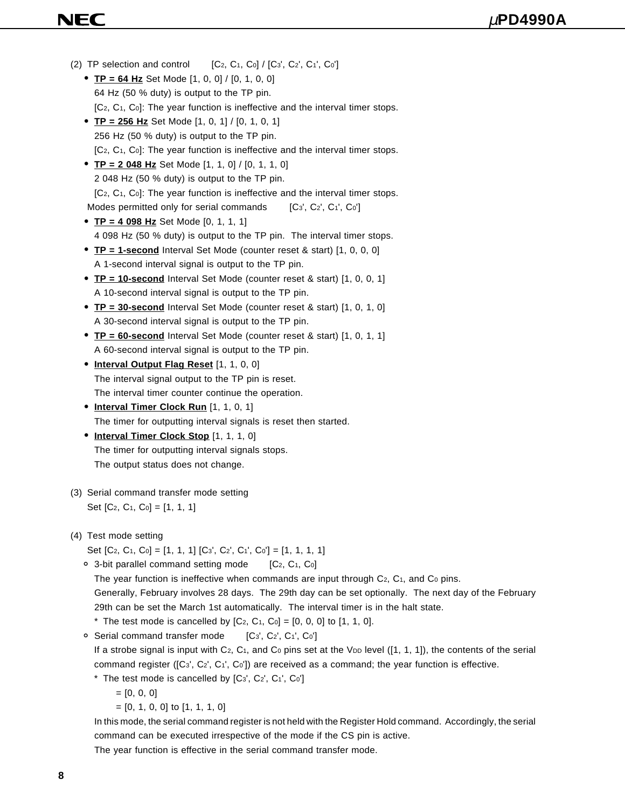# NEC

- (2) TP selection and control  $[C_2, C_1, C_0] / [C_3', C_2', C_1', C_0']$ • **TP = 64 Hz** Set Mode [1, 0, 0] / [0, 1, 0, 0] 64 Hz (50 % duty) is output to the TP pin. [C<sub>2</sub>, C<sub>1</sub>, C<sub>0</sub>]: The year function is ineffective and the interval timer stops. • **TP = 256 Hz** Set Mode [1, 0, 1] / [0, 1, 0, 1] 256 Hz (50 % duty) is output to the TP pin. [C<sub>2</sub>, C<sub>1</sub>, C<sub>0</sub>]: The year function is ineffective and the interval timer stops. • **TP = 2 048 Hz** Set Mode [1, 1, 0] / [0, 1, 1, 0] 2 048 Hz (50 % duty) is output to the TP pin. [C<sub>2</sub>, C<sub>1</sub>, C<sub>0</sub>]: The year function is ineffective and the interval timer stops. Modes permitted only for serial commands  $[C_3, C_2, C_1, C_0]$ • **TP = 4 098 Hz** Set Mode [0, 1, 1, 1] 4 098 Hz (50 % duty) is output to the TP pin. The interval timer stops. • **TP = 1-second** Interval Set Mode (counter reset & start) [1, 0, 0, 0] A 1-second interval signal is output to the TP pin. • **TP = 10-second** Interval Set Mode (counter reset & start) [1, 0, 0, 1] A 10-second interval signal is output to the TP pin. • **TP = 30-second** Interval Set Mode (counter reset & start) [1, 0, 1, 0] A 30-second interval signal is output to the TP pin. • **TP = 60-second** Interval Set Mode (counter reset & start) [1, 0, 1, 1] A 60-second interval signal is output to the TP pin. • **Interval Output Flag Reset** [1, 1, 0, 0] The interval signal output to the TP pin is reset. The interval timer counter continue the operation. • **Interval Timer Clock Run** [1, 1, 0, 1] The timer for outputting interval signals is reset then started. • **Interval Timer Clock Stop** [1, 1, 1, 0] The timer for outputting interval signals stops. The output status does not change. (3) Serial command transfer mode setting Set [C<sub>2</sub>, C<sub>1</sub>, C<sub>0</sub>] = [1, 1, 1] (4) Test mode setting Set [C<sub>2</sub>, C<sub>1</sub>, C<sub>0</sub>] = [1, 1, 1] [C<sub>3</sub>', C<sub>2</sub>', C<sub>1</sub>', C<sub>0</sub>'] = [1, 1, 1, 1]  $\circ$  3-bit parallel command setting mode  $[C_2, C_1, C_0]$ The year function is ineffective when commands are input through  $C_2$ ,  $C_1$ , and  $C_0$  pins. Generally, February involves 28 days. The 29th day can be set optionally. The next day of the February 29th can be set the March 1st automatically. The interval timer is in the halt state. \* The test mode is cancelled by  $[C_2, C_1, C_0] = [0, 0, 0]$  to  $[1, 1, 0]$ . ° Serial command transfer mode [C3', C2', C1', C0'] If a strobe signal is input with  $C_2$ ,  $C_1$ , and  $C_0$  pins set at the V<sub>DD</sub> level ([1, 1, 1]), the contents of the serial command register ([C<sub>3</sub>', C<sub>2</sub>', C<sub>1</sub>', C<sub>0</sub>']) are received as a command; the year function is effective.
	- $*$  The test mode is cancelled by  $[C_3, C_2, C_1, C_0]$ 
		- $= [0, 0, 0]$
		- = [0, 1, 0, 0] to [1, 1, 1, 0]

In this mode, the serial command register is not held with the Register Hold command. Accordingly, the serial command can be executed irrespective of the mode if the CS pin is active.

The year function is effective in the serial command transfer mode.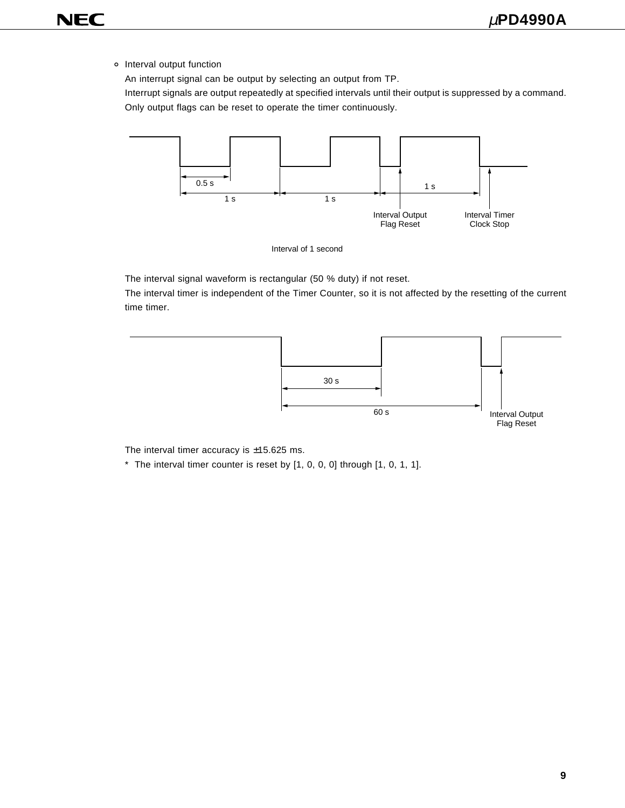° Interval output function

An interrupt signal can be output by selecting an output from TP.

Interrupt signals are output repeatedly at specified intervals until their output is suppressed by a command. Only output flags can be reset to operate the timer continuously.





The interval signal waveform is rectangular (50 % duty) if not reset.

The interval timer is independent of the Timer Counter, so it is not affected by the resetting of the current time timer.



The interval timer accuracy is  $\pm$ 15.625 ms.

\* The interval timer counter is reset by [1, 0, 0, 0] through [1, 0, 1, 1].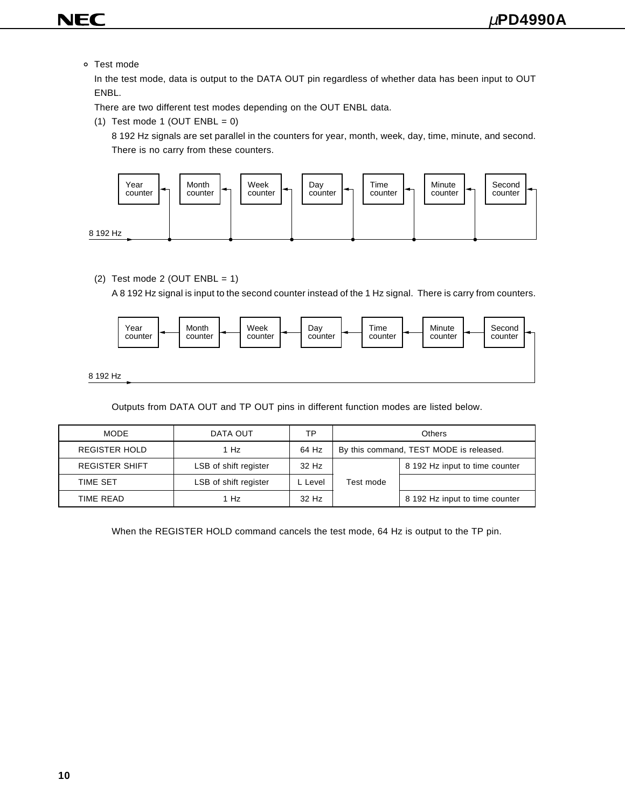- **NEC** 
	- ° Test mode

In the test mode, data is output to the DATA OUT pin regardless of whether data has been input to OUT ENBL.

There are two different test modes depending on the OUT ENBL data.

(1) Test mode 1 (OUT  $ENBL = 0$ )

8 192 Hz signals are set parallel in the counters for year, month, week, day, time, minute, and second. There is no carry from these counters.



(2) Test mode 2 (OUT  $ENBL = 1$ )

A 8 192 Hz signal is input to the second counter instead of the 1 Hz signal. There is carry from counters.



Outputs from DATA OUT and TP OUT pins in different function modes are listed below.

| <b>MODE</b>           | DATA OUT              | ТP      | Others                                  |                                |
|-----------------------|-----------------------|---------|-----------------------------------------|--------------------------------|
| <b>REGISTER HOLD</b>  | 1 Hz                  | 64 Hz   | By this command, TEST MODE is released. |                                |
| <b>REGISTER SHIFT</b> | LSB of shift register | 32 Hz   |                                         | 8 192 Hz input to time counter |
| <b>TIME SET</b>       | LSB of shift register | L Level | Test mode                               |                                |
| TIME READ             | 1 Hz                  | 32 Hz   |                                         | 8 192 Hz input to time counter |

When the REGISTER HOLD command cancels the test mode, 64 Hz is output to the TP pin.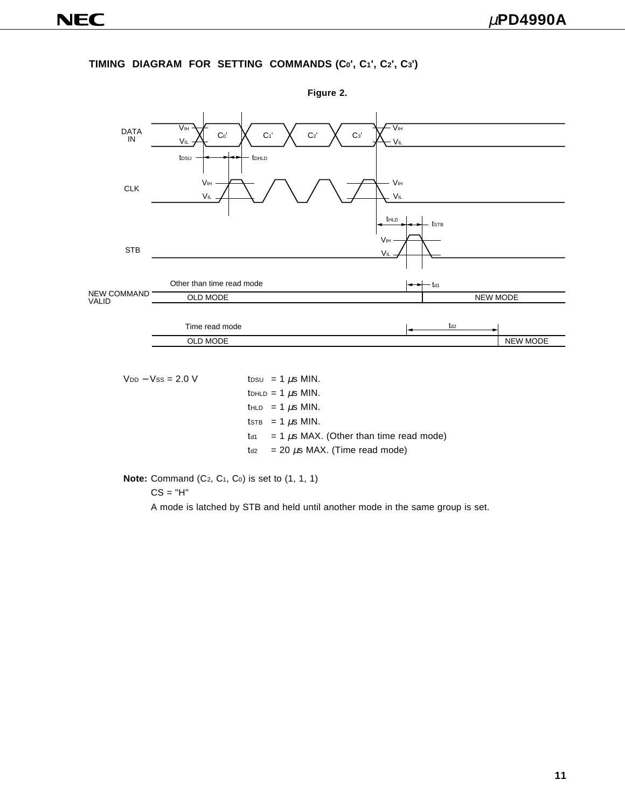#### **TIMING DIAGRAM FOR SETTING COMMANDS (C0', C1', C2', C3')**



 $V_{DD} - V_{SS} = 2.0 \text{ V}$  to to  $= 1 \mu s \text{ MIN.}$  $t$ DHLD = 1  $\mu$ s MIN. thld = 1  $\mu$ s MIN. tSTB = 1  $\mu$ S MIN.  $t_{d1}$  = 1  $\mu$ s MAX. (Other than time read mode)  $t_{d2}$  = 20  $\mu$ s MAX. (Time read mode)

**Note:** Command (C<sub>2</sub>, C<sub>1</sub>, C<sub>0</sub>) is set to (1, 1, 1)

 $CS = "H"$ 

A mode is latched by STB and held until another mode in the same group is set.

**Figure 2.**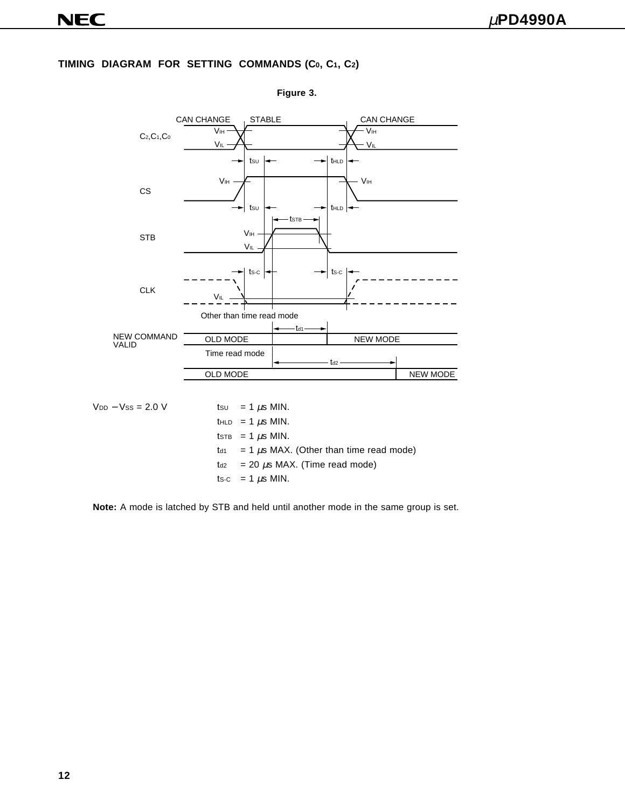#### **TIMING DIAGRAM FOR SETTING COMMANDS (C0, C1, C2)**



**Figure 3.**

**Note:** A mode is latched by STB and held until another mode in the same group is set.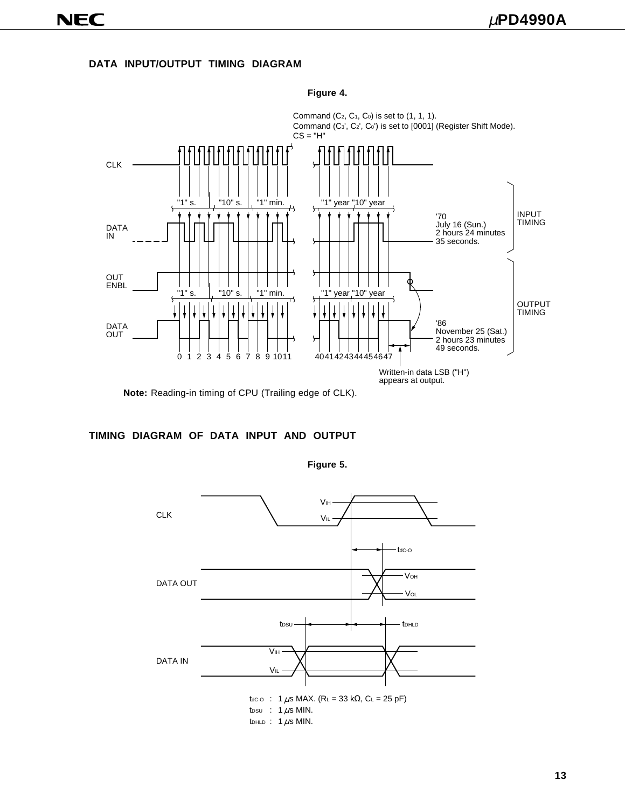**DATA INPUT/OUTPUT TIMING DIAGRAM**



**Figure 4.**

**Note:** Reading-in timing of CPU (Trailing edge of CLK).

#### **TIMING DIAGRAM OF DATA INPUT AND OUTPUT**



**Figure 5.**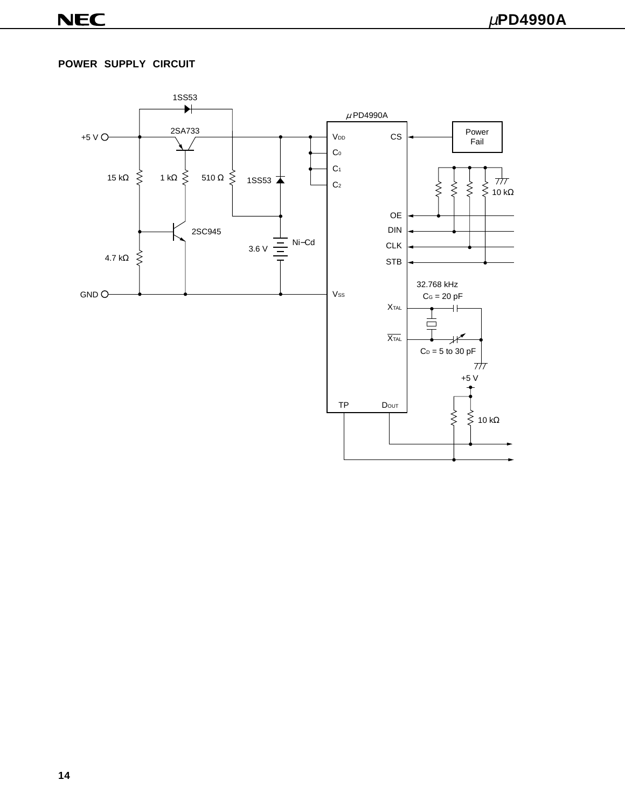#### **POWER SUPPLY CIRCUIT**

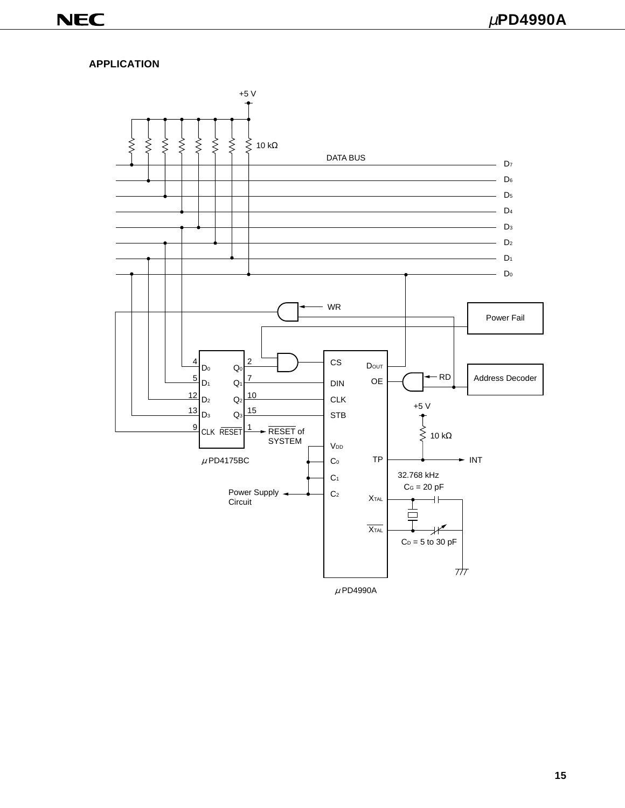#### **APPLICATION**

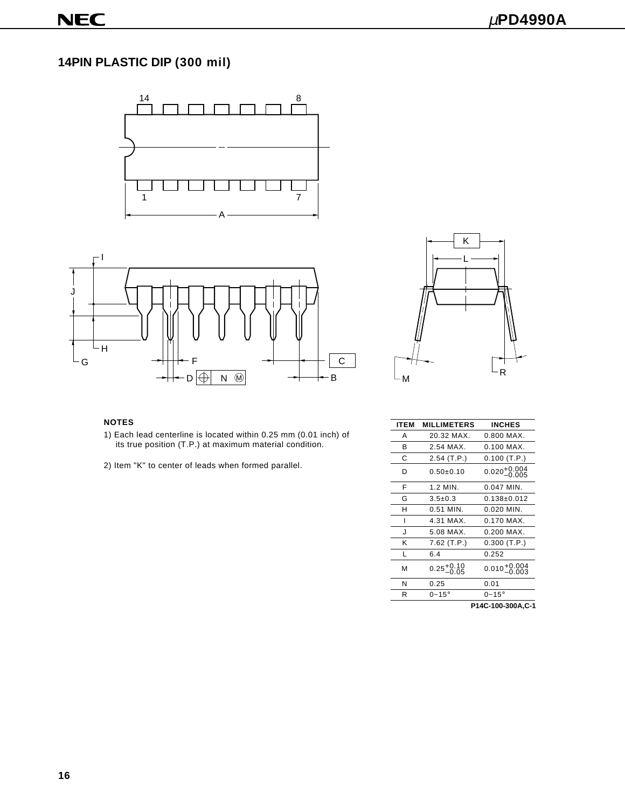# **14PIN PLASTIC DIP (300 mil)**







- 1) Each lead centerline is located within 0.25 mm (0.01 inch) of its true position (T.P.) at maximum material condition.
- 2) Item "K" to center of leads when formed parallel.

| <b>NOTES</b>                                                     | <b>ITEM</b> | <b>MILLIMETERS</b>     | <b>INCHES</b>                     |
|------------------------------------------------------------------|-------------|------------------------|-----------------------------------|
| 1) Each lead centerline is located within 0.25 mm (0.01 inch) of | A           | 20.32 MAX.             | 0.800 MAX.                        |
| its true position (T.P.) at maximum material condition.          | в           | 2.54 MAX.              | $0.100$ MAX.                      |
|                                                                  | С           | $2.54$ (T.P.)          | $0.100$ (T.P.)                    |
| 2) Item "K" to center of leads when formed parallel.             | D           | $0.50 \pm 0.10$        | $0.020^{+0.004}_{-0.005}$         |
|                                                                  | F           | 1.2 MIN.               | 0.047 MIN.                        |
|                                                                  | G           | $3.5 \pm 0.3$          | $0.138 \pm 0.012$<br>$0.020$ MIN. |
|                                                                  | н           | 0.51 MIN.              |                                   |
|                                                                  |             | 4.31 MAX.              | 0.170 MAX.                        |
|                                                                  | J           | 5.08 MAX.              | 0.200 MAX.                        |
|                                                                  | Κ           | $7.62$ (T.P.)          | $0.300$ (T.P.)                    |
|                                                                  |             | 6.4                    | 0.252                             |
|                                                                  | M           | $0.25_{-0.05}^{+0.10}$ | $0.010_{-0.003}^{+0.004}$         |
|                                                                  | N           | 0.25                   | 0.01                              |
|                                                                  | R           | $0 - 15^\circ$         | $0 - 15^\circ$                    |
|                                                                  |             |                        | P14C-100-300A.C-1                 |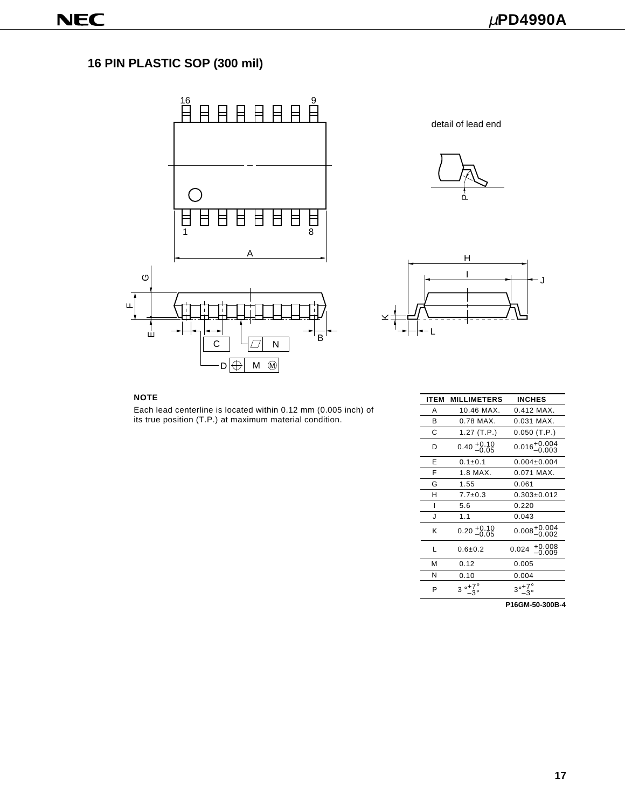# **16 PIN PLASTIC SOP (300 mil)**



detail of lead end





#### **NOTE**

Each lead centerline is located within 0.12 mm (0.005 inch) of its true position (T.P.) at maximum material condition.

| <b>ITEM</b> | <b>MILLIMETERS</b>          | INCHES                                |
|-------------|-----------------------------|---------------------------------------|
| А           | 10.46 MAX.                  | $0.412$ MAX.                          |
| B           | 0.78 MAX.                   | $0.031$ MAX.                          |
| C           | 1.27 $(T.P.)$               | $0.050$ (T.P.)                        |
| D           | $0.40^{+0.10}_{-0.05}$      | $0.016^{+0.004}_{-0.003}$             |
| F           | $0.1 + 0.1$                 | $0.004 \pm 0.004$                     |
| F           | $1.8$ MAX.                  | 0.071 MAX.                            |
| G           | 1.55                        | 0.061                                 |
| н           | $7.7 \pm 0.3$               | $0.303 \pm 0.012$                     |
|             | 5.6                         | 0.220                                 |
| ۱.          | 1.1                         | 0.043                                 |
| ĸ           | $0.20^{+0.10}_{-0.05}$      | $0.008^{+0.004}_{-0.002}$             |
| L           | $0.6 + 0.2$                 | 0.024 <sup>+0.008</sup>               |
| м           | 0.12                        | 0.005                                 |
| N           | 0.10                        | 0.004                                 |
| P           | $3^\circ$ + $7^\circ_\circ$ | $3^{\circ}$ $^{+7\circ}_{-3^{\circ}}$ |
|             |                             | P16GM-50-300B-4                       |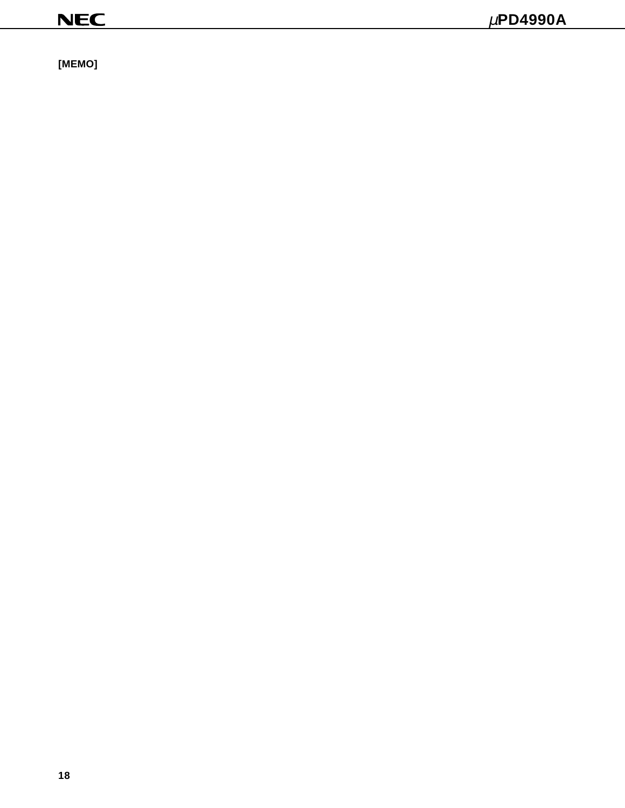**[MEMO]**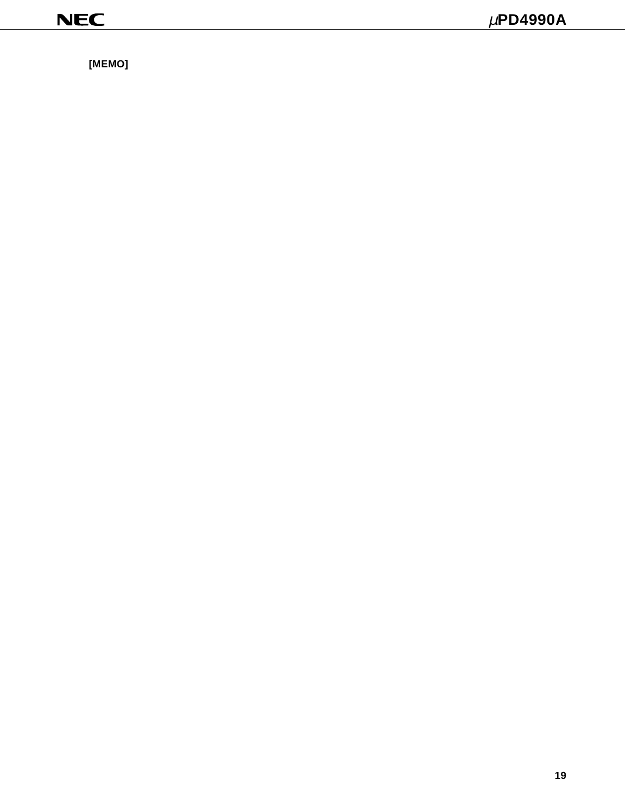**[MEMO]**